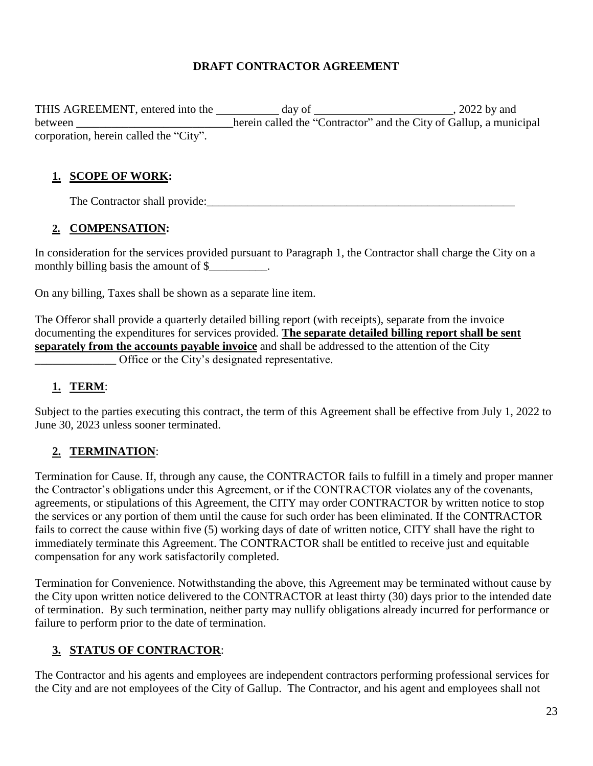#### **DRAFT CONTRACTOR AGREEMENT**

THIS AGREEMENT, entered into the day of , 2022 by and between \_\_\_\_\_\_\_\_\_\_\_\_\_\_\_\_\_\_\_\_\_\_\_\_\_\_herein called the "Contractor" and the City of Gallup, a municipal corporation, herein called the "City".

#### **1. SCOPE OF WORK:**

The Contractor shall provide:

### **2. COMPENSATION:**

In consideration for the services provided pursuant to Paragraph 1, the Contractor shall charge the City on a monthly billing basis the amount of \$\_\_\_\_\_\_\_\_\_.

On any billing, Taxes shall be shown as a separate line item.

The Offeror shall provide a quarterly detailed billing report (with receipts), separate from the invoice documenting the expenditures for services provided. **The separate detailed billing report shall be sent separately from the accounts payable invoice** and shall be addressed to the attention of the City Office or the City's designated representative.

# **1. TERM**:

Subject to the parties executing this contract, the term of this Agreement shall be effective from July 1, 2022 to June 30, 2023 unless sooner terminated.

# **2. TERMINATION**:

Termination for Cause. If, through any cause, the CONTRACTOR fails to fulfill in a timely and proper manner the Contractor's obligations under this Agreement, or if the CONTRACTOR violates any of the covenants, agreements, or stipulations of this Agreement, the CITY may order CONTRACTOR by written notice to stop the services or any portion of them until the cause for such order has been eliminated. If the CONTRACTOR fails to correct the cause within five (5) working days of date of written notice, CITY shall have the right to immediately terminate this Agreement. The CONTRACTOR shall be entitled to receive just and equitable compensation for any work satisfactorily completed.

Termination for Convenience. Notwithstanding the above, this Agreement may be terminated without cause by the City upon written notice delivered to the CONTRACTOR at least thirty (30) days prior to the intended date of termination. By such termination, neither party may nullify obligations already incurred for performance or failure to perform prior to the date of termination.

# **3. STATUS OF CONTRACTOR**:

The Contractor and his agents and employees are independent contractors performing professional services for the City and are not employees of the City of Gallup. The Contractor, and his agent and employees shall not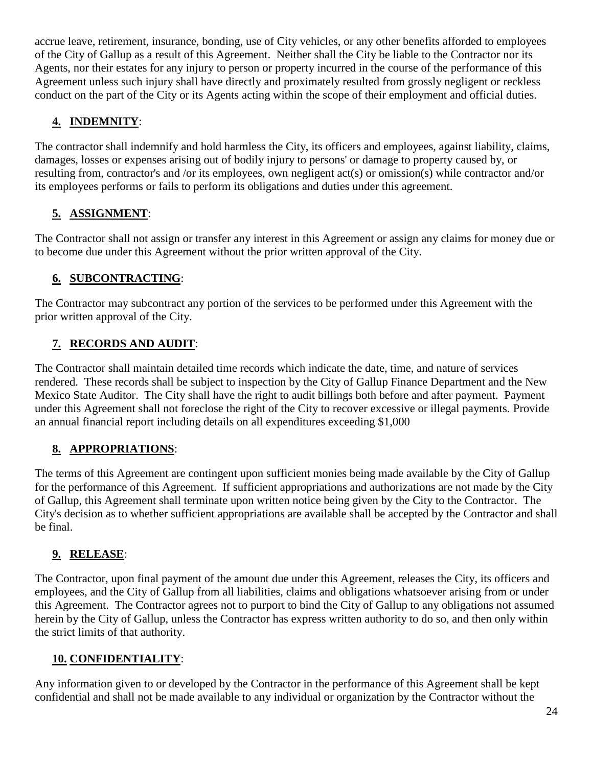accrue leave, retirement, insurance, bonding, use of City vehicles, or any other benefits afforded to employees of the City of Gallup as a result of this Agreement. Neither shall the City be liable to the Contractor nor its Agents, nor their estates for any injury to person or property incurred in the course of the performance of this Agreement unless such injury shall have directly and proximately resulted from grossly negligent or reckless conduct on the part of the City or its Agents acting within the scope of their employment and official duties.

# **4. INDEMNITY**:

The contractor shall indemnify and hold harmless the City, its officers and employees, against liability, claims, damages, losses or expenses arising out of bodily injury to persons' or damage to property caused by, or resulting from, contractor's and /or its employees, own negligent act(s) or omission(s) while contractor and/or its employees performs or fails to perform its obligations and duties under this agreement.

# **5. ASSIGNMENT**:

The Contractor shall not assign or transfer any interest in this Agreement or assign any claims for money due or to become due under this Agreement without the prior written approval of the City.

# **6. SUBCONTRACTING**:

The Contractor may subcontract any portion of the services to be performed under this Agreement with the prior written approval of the City.

# **7. RECORDS AND AUDIT**:

The Contractor shall maintain detailed time records which indicate the date, time, and nature of services rendered. These records shall be subject to inspection by the City of Gallup Finance Department and the New Mexico State Auditor. The City shall have the right to audit billings both before and after payment. Payment under this Agreement shall not foreclose the right of the City to recover excessive or illegal payments. Provide an annual financial report including details on all expenditures exceeding \$1,000

# **8. APPROPRIATIONS**:

The terms of this Agreement are contingent upon sufficient monies being made available by the City of Gallup for the performance of this Agreement. If sufficient appropriations and authorizations are not made by the City of Gallup, this Agreement shall terminate upon written notice being given by the City to the Contractor. The City's decision as to whether sufficient appropriations are available shall be accepted by the Contractor and shall be final.

# **9. RELEASE**:

The Contractor, upon final payment of the amount due under this Agreement, releases the City, its officers and employees, and the City of Gallup from all liabilities, claims and obligations whatsoever arising from or under this Agreement. The Contractor agrees not to purport to bind the City of Gallup to any obligations not assumed herein by the City of Gallup, unless the Contractor has express written authority to do so, and then only within the strict limits of that authority.

# **10. CONFIDENTIALITY**:

Any information given to or developed by the Contractor in the performance of this Agreement shall be kept confidential and shall not be made available to any individual or organization by the Contractor without the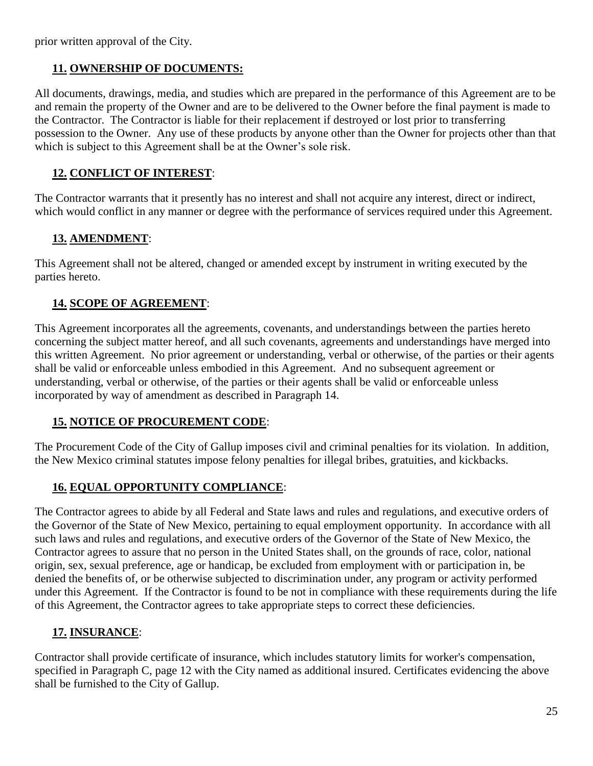prior written approval of the City.

#### **11. OWNERSHIP OF DOCUMENTS:**

All documents, drawings, media, and studies which are prepared in the performance of this Agreement are to be and remain the property of the Owner and are to be delivered to the Owner before the final payment is made to the Contractor. The Contractor is liable for their replacement if destroyed or lost prior to transferring possession to the Owner. Any use of these products by anyone other than the Owner for projects other than that which is subject to this Agreement shall be at the Owner's sole risk.

#### **12. CONFLICT OF INTEREST**:

The Contractor warrants that it presently has no interest and shall not acquire any interest, direct or indirect, which would conflict in any manner or degree with the performance of services required under this Agreement.

# **13. AMENDMENT**:

This Agreement shall not be altered, changed or amended except by instrument in writing executed by the parties hereto.

### **14. SCOPE OF AGREEMENT**:

This Agreement incorporates all the agreements, covenants, and understandings between the parties hereto concerning the subject matter hereof, and all such covenants, agreements and understandings have merged into this written Agreement. No prior agreement or understanding, verbal or otherwise, of the parties or their agents shall be valid or enforceable unless embodied in this Agreement. And no subsequent agreement or understanding, verbal or otherwise, of the parties or their agents shall be valid or enforceable unless incorporated by way of amendment as described in Paragraph 14.

#### **15. NOTICE OF PROCUREMENT CODE**:

The Procurement Code of the City of Gallup imposes civil and criminal penalties for its violation. In addition, the New Mexico criminal statutes impose felony penalties for illegal bribes, gratuities, and kickbacks.

# **16. EQUAL OPPORTUNITY COMPLIANCE**:

The Contractor agrees to abide by all Federal and State laws and rules and regulations, and executive orders of the Governor of the State of New Mexico, pertaining to equal employment opportunity. In accordance with all such laws and rules and regulations, and executive orders of the Governor of the State of New Mexico, the Contractor agrees to assure that no person in the United States shall, on the grounds of race, color, national origin, sex, sexual preference, age or handicap, be excluded from employment with or participation in, be denied the benefits of, or be otherwise subjected to discrimination under, any program or activity performed under this Agreement. If the Contractor is found to be not in compliance with these requirements during the life of this Agreement, the Contractor agrees to take appropriate steps to correct these deficiencies.

# **17. INSURANCE**:

Contractor shall provide certificate of insurance, which includes statutory limits for worker's compensation, specified in Paragraph C, page 12 with the City named as additional insured. Certificates evidencing the above shall be furnished to the City of Gallup.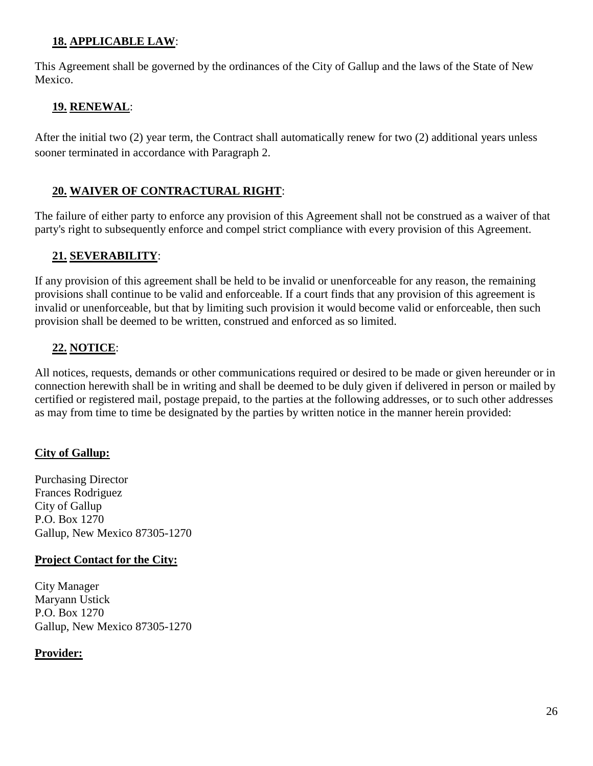#### **18. APPLICABLE LAW**:

This Agreement shall be governed by the ordinances of the City of Gallup and the laws of the State of New Mexico.

### **19. RENEWAL**:

After the initial two (2) year term, the Contract shall automatically renew for two (2) additional years unless sooner terminated in accordance with Paragraph 2.

### **20. WAIVER OF CONTRACTURAL RIGHT**:

The failure of either party to enforce any provision of this Agreement shall not be construed as a waiver of that party's right to subsequently enforce and compel strict compliance with every provision of this Agreement.

### **21. SEVERABILITY**:

If any provision of this agreement shall be held to be invalid or unenforceable for any reason, the remaining provisions shall continue to be valid and enforceable. If a court finds that any provision of this agreement is invalid or unenforceable, but that by limiting such provision it would become valid or enforceable, then such provision shall be deemed to be written, construed and enforced as so limited.

### **22. NOTICE**:

All notices, requests, demands or other communications required or desired to be made or given hereunder or in connection herewith shall be in writing and shall be deemed to be duly given if delivered in person or mailed by certified or registered mail, postage prepaid, to the parties at the following addresses, or to such other addresses as may from time to time be designated by the parties by written notice in the manner herein provided:

#### **City of Gallup:**

Purchasing Director Frances Rodriguez City of Gallup P.O. Box 1270 Gallup, New Mexico 87305-1270

#### **Project Contact for the City:**

City Manager Maryann Ustick P.O. Box 1270 Gallup, New Mexico 87305-1270

#### **Provider:**